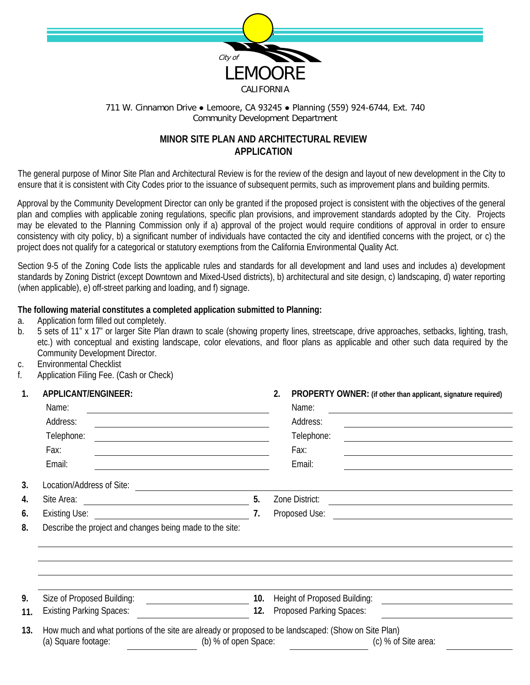

## 711 W. Cinnamon Drive ● Lemoore, CA 93245 ● Planning (559) 924-6744, Ext. 740 Community Development Department

## **MINOR SITE PLAN AND ARCHITECTURAL REVIEW APPLICATION**

The general purpose of Minor Site Plan and Architectural Review is for the review of the design and layout of new development in the City to ensure that it is consistent with City Codes prior to the issuance of subsequent permits, such as improvement plans and building permits.

Approval by the Community Development Director can only be granted if the proposed project is consistent with the objectives of the general plan and complies with applicable zoning regulations, specific plan provisions, and improvement standards adopted by the City. Projects may be elevated to the Planning Commission only if a) approval of the project would require conditions of approval in order to ensure consistency with city policy, b) a significant number of individuals have contacted the city and identified concerns with the project, or c) the project does not qualify for a categorical or statutory exemptions from the California Environmental Quality Act.

Section 9-5 of the Zoning Code lists the applicable rules and standards for all development and land uses and includes a) development standards by Zoning District (except Downtown and Mixed-Used districts), b) architectural and site design, c) landscaping, d) water reporting (when applicable), e) off-street parking and loading, and f) signage.

## **The following material constitutes a completed application submitted to Planning:**

- a. Application form filled out completely.
- b. 5 sets of 11" x 17" or larger Site Plan drawn to scale (showing property lines, streetscape, drive approaches, setbacks, lighting, trash, etc.) with conceptual and existing landscape, color elevations, and floor plans as applicable and other such data required by the Community Development Director.
- c. Environmental Checklist
- f. Application Filing Fee. (Cash or Check)

| 1.                                                                                                                                                                                | APPLICANT/ENGINEER:                                                                                                                                                                                                                     |     | 2.<br>PROPERTY OWNER: (if other than applicant, signature required)                                                                                                                                                                       |  |  |
|-----------------------------------------------------------------------------------------------------------------------------------------------------------------------------------|-----------------------------------------------------------------------------------------------------------------------------------------------------------------------------------------------------------------------------------------|-----|-------------------------------------------------------------------------------------------------------------------------------------------------------------------------------------------------------------------------------------------|--|--|
|                                                                                                                                                                                   | Name:<br><u> 1980 - Johann Barn, amerikan besteman besteman besteman besteman besteman besteman besteman besteman bestema</u><br>Address:<br>Telephone:<br>Fax:<br><u> 1989 - Johann Barn, amerikansk politiker (d. 1989)</u><br>Email: |     | Name:<br><u> 1989 - Johann Barn, amerikansk politiker (d. 1989)</u>                                                                                                                                                                       |  |  |
|                                                                                                                                                                                   |                                                                                                                                                                                                                                         |     | Address:<br>the control of the control of the control of the control of the control of the control of the control of the control of the control of the control of the control of the control of the control of the control of the control |  |  |
|                                                                                                                                                                                   |                                                                                                                                                                                                                                         |     | Telephone:                                                                                                                                                                                                                                |  |  |
|                                                                                                                                                                                   |                                                                                                                                                                                                                                         |     | Fax:<br>the control of the control of the control of the control of the control of the control of the control of the control of the control of the control of the control of the control of the control of the control of the control     |  |  |
|                                                                                                                                                                                   |                                                                                                                                                                                                                                         |     | Email:                                                                                                                                                                                                                                    |  |  |
| 3.                                                                                                                                                                                |                                                                                                                                                                                                                                         |     |                                                                                                                                                                                                                                           |  |  |
| 4.                                                                                                                                                                                |                                                                                                                                                                                                                                         | 5.  | Zone District:<br><u> Alexandria de la contrada de la contrada de la contrada de la contrada de la contrada de la contrada de la c</u>                                                                                                    |  |  |
| 6.                                                                                                                                                                                |                                                                                                                                                                                                                                         | 7.  |                                                                                                                                                                                                                                           |  |  |
| 8.                                                                                                                                                                                | Describe the project and changes being made to the site:                                                                                                                                                                                |     |                                                                                                                                                                                                                                           |  |  |
|                                                                                                                                                                                   |                                                                                                                                                                                                                                         |     |                                                                                                                                                                                                                                           |  |  |
|                                                                                                                                                                                   |                                                                                                                                                                                                                                         |     |                                                                                                                                                                                                                                           |  |  |
| 9.                                                                                                                                                                                | Size of Proposed Building:                                                                                                                                                                                                              | 10. | Height of Proposed Building:<br><u> 1989 - Andrea Station Barbara, amerikan per</u>                                                                                                                                                       |  |  |
| 11.                                                                                                                                                                               | <b>Existing Parking Spaces:</b><br><u> 1990 - Jan Barbara Barat, manala</u>                                                                                                                                                             | 12. | Proposed Parking Spaces:                                                                                                                                                                                                                  |  |  |
| How much and what portions of the site are already or proposed to be landscaped: (Show on Site Plan)<br>13.<br>(b) % of open Space:<br>(a) Square footage:<br>(c) % of Site area: |                                                                                                                                                                                                                                         |     |                                                                                                                                                                                                                                           |  |  |